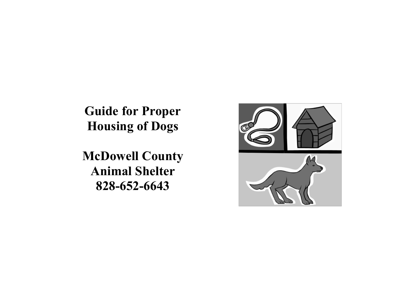**Guide for Proper Housing of Dogs**

**McDowell County Animal Shelter 828-652-6643**